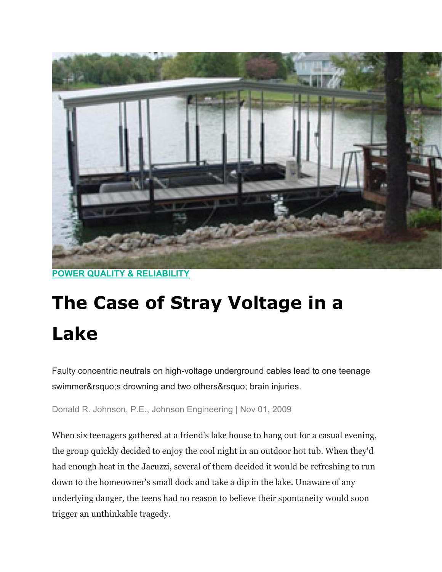

**[POWER QUALITY & RELIABILITY](https://www.ecmweb.com/power-quality-reliability)**

# **The Case of Stray Voltage in a Lake**

Faulty concentric neutrals on high-voltage underground cables lead to one teenage swimmer' s drowning and two others' brain injuries.

Donald R. Johnson, P.E., Johnson Engineering | Nov 01, 2009

When six teenagers gathered at a friend's lake house to hang out for a casual evening, the group quickly decided to enjoy the cool night in an outdoor hot tub. When they'd had enough heat in the Jacuzzi, several of them decided it would be refreshing to run down to the homeowner's small dock and take a dip in the lake. Unaware of any underlying danger, the teens had no reason to believe their spontaneity would soon trigger an unthinkable tragedy.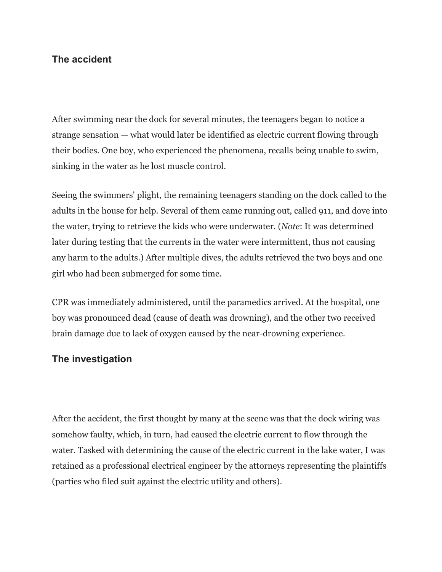# **The accident**

After swimming near the dock for several minutes, the teenagers began to notice a strange sensation — what would later be identified as electric current flowing through their bodies. One boy, who experienced the phenomena, recalls being unable to swim, sinking in the water as he lost muscle control.

Seeing the swimmers' plight, the remaining teenagers standing on the dock called to the adults in the house for help. Several of them came running out, called 911, and dove into the water, trying to retrieve the kids who were underwater. (*Note*: It was determined later during testing that the currents in the water were intermittent, thus not causing any harm to the adults.) After multiple dives, the adults retrieved the two boys and one girl who had been submerged for some time.

CPR was immediately administered, until the paramedics arrived. At the hospital, one boy was pronounced dead (cause of death was drowning), and the other two received brain damage due to lack of oxygen caused by the near-drowning experience.

## **The investigation**

After the accident, the first thought by many at the scene was that the dock wiring was somehow faulty, which, in turn, had caused the electric current to flow through the water. Tasked with determining the cause of the electric current in the lake water, I was retained as a professional electrical engineer by the attorneys representing the plaintiffs (parties who filed suit against the electric utility and others).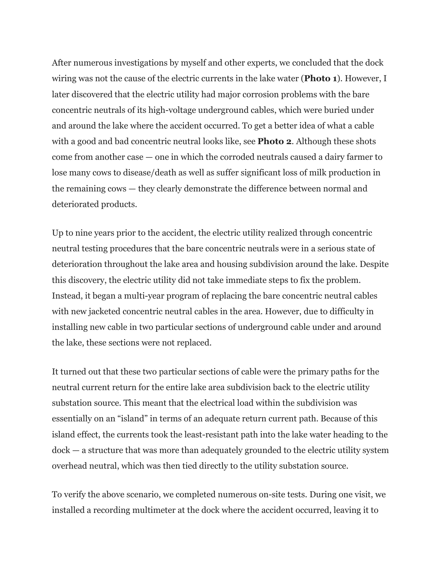After numerous investigations by myself and other experts, we concluded that the dock wiring was not the cause of the electric currents in the lake water (**Photo 1**). However, I later discovered that the electric utility had major corrosion problems with the bare concentric neutrals of its high-voltage underground cables, which were buried under and around the lake where the accident occurred. To get a better idea of what a cable with a good and bad concentric neutral looks like, see **Photo 2**. Although these shots come from another case — one in which the corroded neutrals caused a dairy farmer to lose many cows to disease/death as well as suffer significant loss of milk production in the remaining cows — they clearly demonstrate the difference between normal and deteriorated products.

Up to nine years prior to the accident, the electric utility realized through concentric neutral testing procedures that the bare concentric neutrals were in a serious state of deterioration throughout the lake area and housing subdivision around the lake. Despite this discovery, the electric utility did not take immediate steps to fix the problem. Instead, it began a multi-year program of replacing the bare concentric neutral cables with new jacketed concentric neutral cables in the area. However, due to difficulty in installing new cable in two particular sections of underground cable under and around the lake, these sections were not replaced.

It turned out that these two particular sections of cable were the primary paths for the neutral current return for the entire lake area subdivision back to the electric utility substation source. This meant that the electrical load within the subdivision was essentially on an "island" in terms of an adequate return current path. Because of this island effect, the currents took the least-resistant path into the lake water heading to the dock — a structure that was more than adequately grounded to the electric utility system overhead neutral, which was then tied directly to the utility substation source.

To verify the above scenario, we completed numerous on-site tests. During one visit, we installed a recording multimeter at the dock where the accident occurred, leaving it to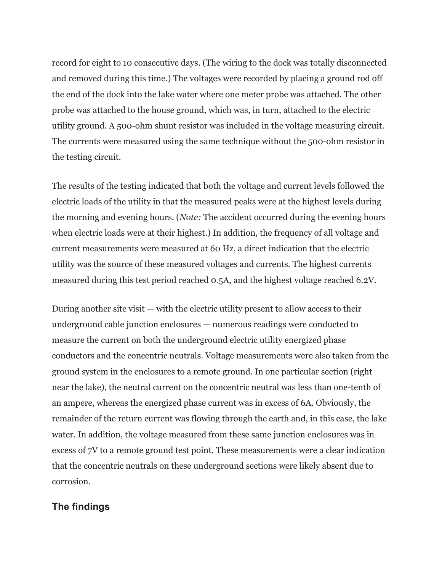record for eight to 10 consecutive days. (The wiring to the dock was totally disconnected and removed during this time.) The voltages were recorded by placing a ground rod off the end of the dock into the lake water where one meter probe was attached. The other probe was attached to the house ground, which was, in turn, attached to the electric utility ground. A 500-ohm shunt resistor was included in the voltage measuring circuit. The currents were measured using the same technique without the 500-ohm resistor in the testing circuit.

The results of the testing indicated that both the voltage and current levels followed the electric loads of the utility in that the measured peaks were at the highest levels during the morning and evening hours. (*Note:* The accident occurred during the evening hours when electric loads were at their highest.) In addition, the frequency of all voltage and current measurements were measured at 60 Hz, a direct indication that the electric utility was the source of these measured voltages and currents. The highest currents measured during this test period reached 0.5A, and the highest voltage reached 6.2V.

During another site visit — with the electric utility present to allow access to their underground cable junction enclosures — numerous readings were conducted to measure the current on both the underground electric utility energized phase conductors and the concentric neutrals. Voltage measurements were also taken from the ground system in the enclosures to a remote ground. In one particular section (right near the lake), the neutral current on the concentric neutral was less than one-tenth of an ampere, whereas the energized phase current was in excess of 6A. Obviously, the remainder of the return current was flowing through the earth and, in this case, the lake water. In addition, the voltage measured from these same junction enclosures was in excess of 7V to a remote ground test point. These measurements were a clear indication that the concentric neutrals on these underground sections were likely absent due to corrosion.

#### **The findings**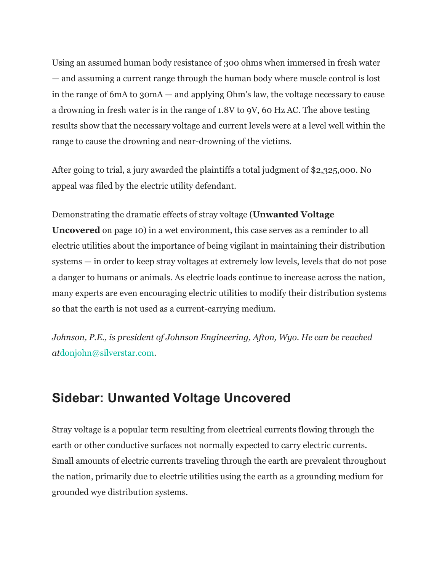Using an assumed human body resistance of 300 ohms when immersed in fresh water — and assuming a current range through the human body where muscle control is lost in the range of 6mA to 30mA — and applying Ohm's law, the voltage necessary to cause a drowning in fresh water is in the range of 1.8V to 9V, 60 Hz AC. The above testing results show that the necessary voltage and current levels were at a level well within the range to cause the drowning and near-drowning of the victims.

After going to trial, a jury awarded the plaintiffs a total judgment of \$2,325,000. No appeal was filed by the electric utility defendant.

## Demonstrating the dramatic effects of stray voltage (**Unwanted Voltage**

**Uncovered** on page 10) in a wet environment, this case serves as a reminder to all electric utilities about the importance of being vigilant in maintaining their distribution systems — in order to keep stray voltages at extremely low levels, levels that do not pose a danger to humans or animals. As electric loads continue to increase across the nation, many experts are even encouraging electric utilities to modify their distribution systems so that the earth is not used as a current-carrying medium.

*Johnson, P.E., is president of Johnson Engineering, Afton, Wyo. He can be reached at*[donjohn@silverstar.com.](mailto:donjohn@silverstar.com)

# **Sidebar: Unwanted Voltage Uncovered**

Stray voltage is a popular term resulting from electrical currents flowing through the earth or other conductive surfaces not normally expected to carry electric currents. Small amounts of electric currents traveling through the earth are prevalent throughout the nation, primarily due to electric utilities using the earth as a grounding medium for grounded wye distribution systems.